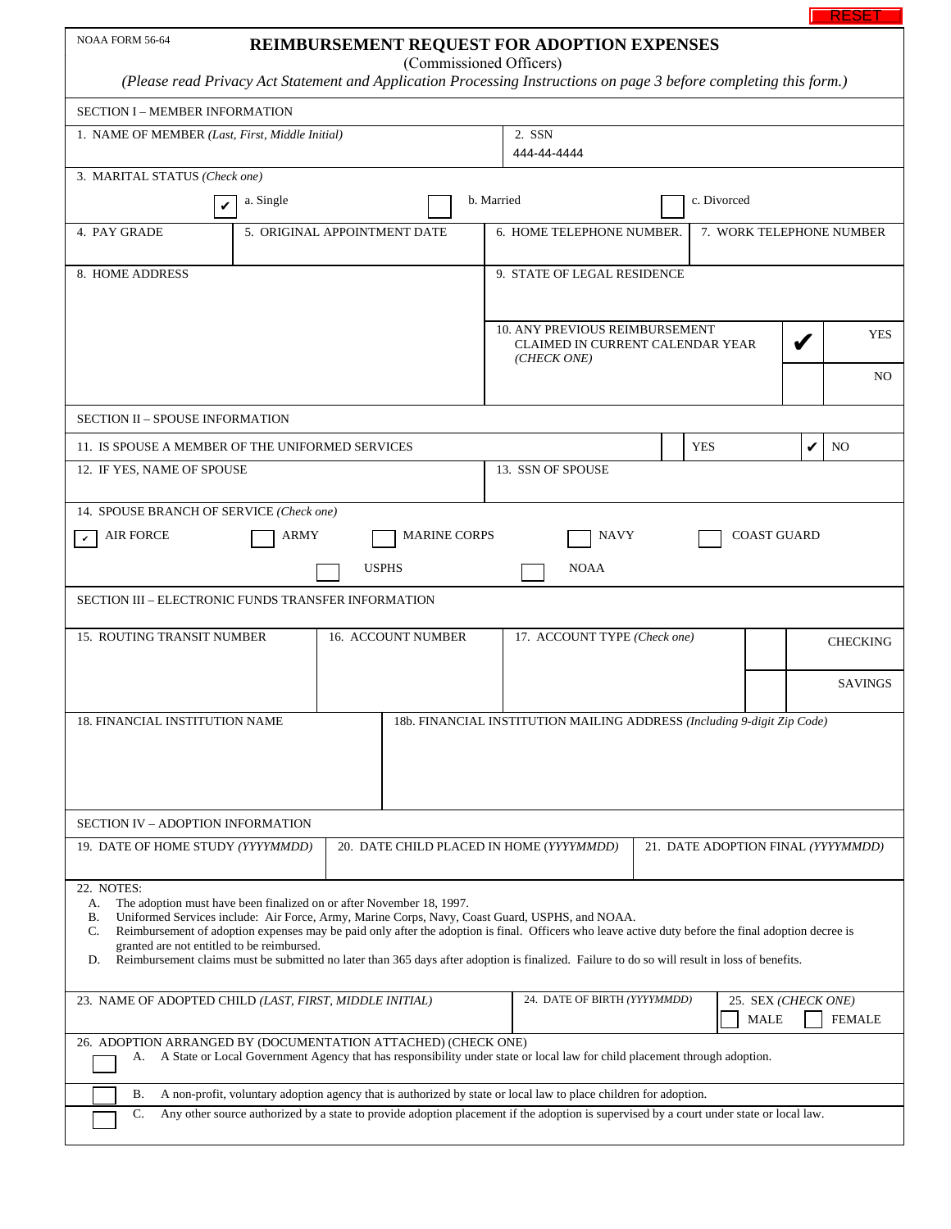|                                                                                                                                                                                                                                                                                                                                                                                                                                                                                                                                                                   |                                                                                                                                                                                                                                                             |                                                                                     |             |                    | RESE            |  |
|-------------------------------------------------------------------------------------------------------------------------------------------------------------------------------------------------------------------------------------------------------------------------------------------------------------------------------------------------------------------------------------------------------------------------------------------------------------------------------------------------------------------------------------------------------------------|-------------------------------------------------------------------------------------------------------------------------------------------------------------------------------------------------------------------------------------------------------------|-------------------------------------------------------------------------------------|-------------|--------------------|-----------------|--|
| NOAA FORM 56-64                                                                                                                                                                                                                                                                                                                                                                                                                                                                                                                                                   | REIMBURSEMENT REQUEST FOR ADOPTION EXPENSES<br>(Commissioned Officers)                                                                                                                                                                                      |                                                                                     |             |                    |                 |  |
| (Please read Privacy Act Statement and Application Processing Instructions on page 3 before completing this form.)                                                                                                                                                                                                                                                                                                                                                                                                                                                |                                                                                                                                                                                                                                                             |                                                                                     |             |                    |                 |  |
| <b>SECTION I - MEMBER INFORMATION</b>                                                                                                                                                                                                                                                                                                                                                                                                                                                                                                                             |                                                                                                                                                                                                                                                             |                                                                                     |             |                    |                 |  |
| 1. NAME OF MEMBER (Last, First, Middle Initial)                                                                                                                                                                                                                                                                                                                                                                                                                                                                                                                   | 2. SSN<br>444-44-4444                                                                                                                                                                                                                                       |                                                                                     |             |                    |                 |  |
| 3. MARITAL STATUS (Check one)                                                                                                                                                                                                                                                                                                                                                                                                                                                                                                                                     |                                                                                                                                                                                                                                                             |                                                                                     |             |                    |                 |  |
| a. Single<br>V                                                                                                                                                                                                                                                                                                                                                                                                                                                                                                                                                    |                                                                                                                                                                                                                                                             | b. Married                                                                          | c. Divorced |                    |                 |  |
| 4. PAY GRADE                                                                                                                                                                                                                                                                                                                                                                                                                                                                                                                                                      | 5. ORIGINAL APPOINTMENT DATE                                                                                                                                                                                                                                | 7. WORK TELEPHONE NUMBER<br>6. HOME TELEPHONE NUMBER.                               |             |                    |                 |  |
| 8. HOME ADDRESS                                                                                                                                                                                                                                                                                                                                                                                                                                                                                                                                                   |                                                                                                                                                                                                                                                             | 9. STATE OF LEGAL RESIDENCE                                                         |             |                    |                 |  |
|                                                                                                                                                                                                                                                                                                                                                                                                                                                                                                                                                                   |                                                                                                                                                                                                                                                             |                                                                                     |             |                    |                 |  |
|                                                                                                                                                                                                                                                                                                                                                                                                                                                                                                                                                                   |                                                                                                                                                                                                                                                             | 10. ANY PREVIOUS REIMBURSEMENT<br>CLAIMED IN CURRENT CALENDAR YEAR<br>(CHECK ONE)   |             |                    | <b>YES</b>      |  |
|                                                                                                                                                                                                                                                                                                                                                                                                                                                                                                                                                                   |                                                                                                                                                                                                                                                             |                                                                                     |             |                    | NO              |  |
| <b>SECTION II - SPOUSE INFORMATION</b>                                                                                                                                                                                                                                                                                                                                                                                                                                                                                                                            |                                                                                                                                                                                                                                                             |                                                                                     |             |                    |                 |  |
| 11. IS SPOUSE A MEMBER OF THE UNIFORMED SERVICES                                                                                                                                                                                                                                                                                                                                                                                                                                                                                                                  |                                                                                                                                                                                                                                                             |                                                                                     | <b>YES</b>  | ✔                  | N <sub>O</sub>  |  |
| 12. IF YES, NAME OF SPOUSE                                                                                                                                                                                                                                                                                                                                                                                                                                                                                                                                        |                                                                                                                                                                                                                                                             | 13. SSN OF SPOUSE                                                                   |             |                    |                 |  |
| 14. SPOUSE BRANCH OF SERVICE (Check one)                                                                                                                                                                                                                                                                                                                                                                                                                                                                                                                          |                                                                                                                                                                                                                                                             |                                                                                     |             |                    |                 |  |
| <b>AIR FORCE</b><br>ARMY<br>v                                                                                                                                                                                                                                                                                                                                                                                                                                                                                                                                     | <b>MARINE CORPS</b>                                                                                                                                                                                                                                         | <b>NAVY</b>                                                                         |             | <b>COAST GUARD</b> |                 |  |
|                                                                                                                                                                                                                                                                                                                                                                                                                                                                                                                                                                   | <b>USPHS</b>                                                                                                                                                                                                                                                | <b>NOAA</b>                                                                         |             |                    |                 |  |
| SECTION III - ELECTRONIC FUNDS TRANSFER INFORMATION                                                                                                                                                                                                                                                                                                                                                                                                                                                                                                               |                                                                                                                                                                                                                                                             |                                                                                     |             |                    |                 |  |
| 15. ROUTING TRANSIT NUMBER<br><b>16. ACCOUNT NUMBER</b>                                                                                                                                                                                                                                                                                                                                                                                                                                                                                                           |                                                                                                                                                                                                                                                             | 17. ACCOUNT TYPE (Check one)                                                        |             |                    | <b>CHECKING</b> |  |
|                                                                                                                                                                                                                                                                                                                                                                                                                                                                                                                                                                   |                                                                                                                                                                                                                                                             |                                                                                     |             |                    | SAVINGS         |  |
| 18. FINANCIAL INSTITUTION NAME                                                                                                                                                                                                                                                                                                                                                                                                                                                                                                                                    |                                                                                                                                                                                                                                                             | 18b. FINANCIAL INSTITUTION MAILING ADDRESS (Including 9-digit Zip Code)             |             |                    |                 |  |
|                                                                                                                                                                                                                                                                                                                                                                                                                                                                                                                                                                   |                                                                                                                                                                                                                                                             |                                                                                     |             |                    |                 |  |
|                                                                                                                                                                                                                                                                                                                                                                                                                                                                                                                                                                   |                                                                                                                                                                                                                                                             |                                                                                     |             |                    |                 |  |
| SECTION IV - ADOPTION INFORMATION                                                                                                                                                                                                                                                                                                                                                                                                                                                                                                                                 |                                                                                                                                                                                                                                                             |                                                                                     |             |                    |                 |  |
| 19. DATE OF HOME STUDY (YYYYMMDD)                                                                                                                                                                                                                                                                                                                                                                                                                                                                                                                                 | 20. DATE CHILD PLACED IN HOME (YYYYMMDD)<br>21. DATE ADOPTION FINAL (YYYYMMDD)                                                                                                                                                                              |                                                                                     |             |                    |                 |  |
| 22. NOTES:<br>The adoption must have been finalized on or after November 18, 1997.<br>А.<br>Uniformed Services include: Air Force, Army, Marine Corps, Navy, Coast Guard, USPHS, and NOAA.<br>В.<br>Reimbursement of adoption expenses may be paid only after the adoption is final. Officers who leave active duty before the final adoption decree is<br>C.<br>granted are not entitled to be reimbursed.<br>Reimbursement claims must be submitted no later than 365 days after adoption is finalized. Failure to do so will result in loss of benefits.<br>D. |                                                                                                                                                                                                                                                             |                                                                                     |             |                    |                 |  |
| 23. NAME OF ADOPTED CHILD (LAST, FIRST, MIDDLE INITIAL)                                                                                                                                                                                                                                                                                                                                                                                                                                                                                                           |                                                                                                                                                                                                                                                             | 24. DATE OF BIRTH (YYYYMMDD)<br>25. SEX (CHECK ONE)<br><b>MALE</b><br><b>FEMALE</b> |             |                    |                 |  |
| 26. ADOPTION ARRANGED BY (DOCUMENTATION ATTACHED) (CHECK ONE)<br>А.                                                                                                                                                                                                                                                                                                                                                                                                                                                                                               | A State or Local Government Agency that has responsibility under state or local law for child placement through adoption.                                                                                                                                   |                                                                                     |             |                    |                 |  |
|                                                                                                                                                                                                                                                                                                                                                                                                                                                                                                                                                                   |                                                                                                                                                                                                                                                             |                                                                                     |             |                    |                 |  |
| В.<br>C.                                                                                                                                                                                                                                                                                                                                                                                                                                                                                                                                                          | A non-profit, voluntary adoption agency that is authorized by state or local law to place children for adoption.<br>Any other source authorized by a state to provide adoption placement if the adoption is supervised by a court under state or local law. |                                                                                     |             |                    |                 |  |
|                                                                                                                                                                                                                                                                                                                                                                                                                                                                                                                                                                   |                                                                                                                                                                                                                                                             |                                                                                     |             |                    |                 |  |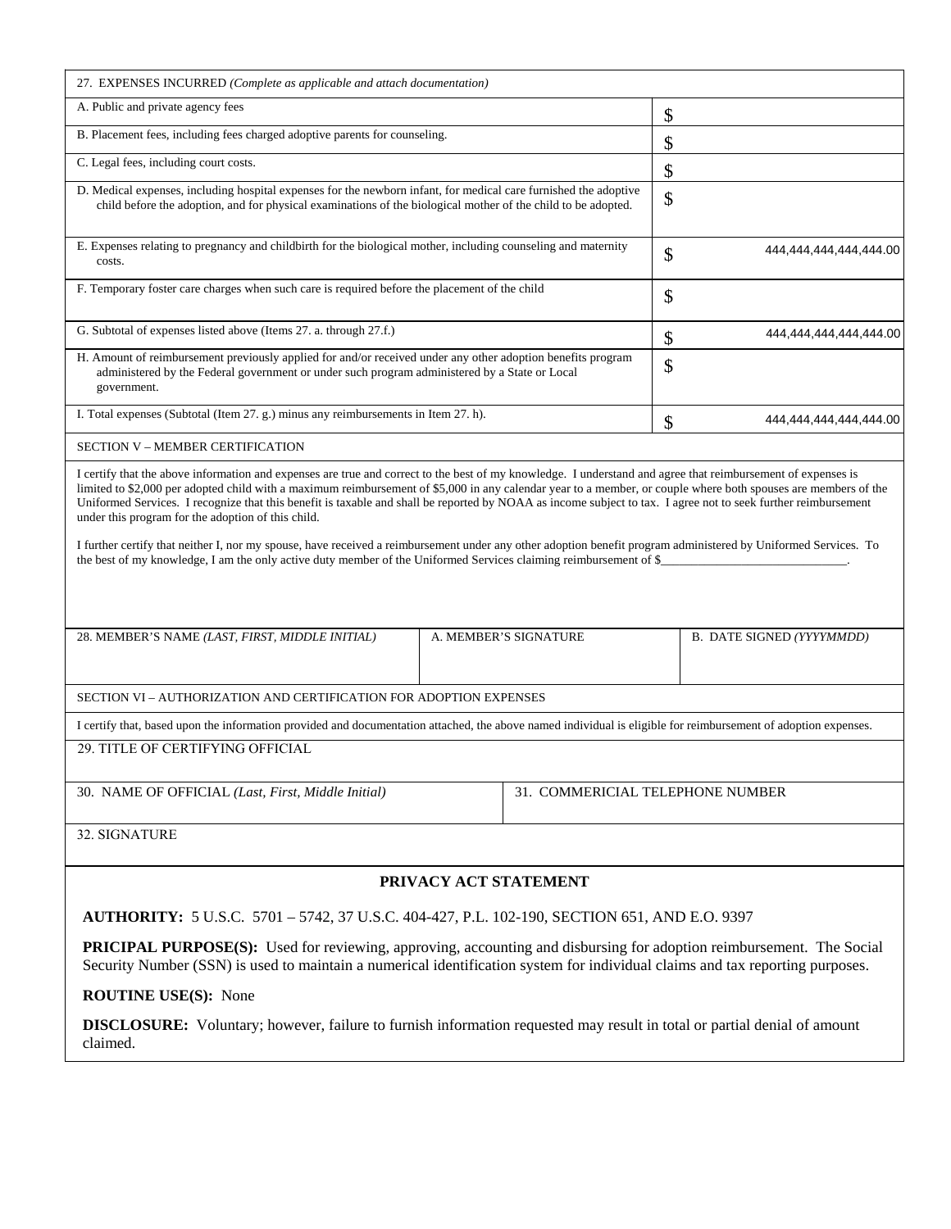| 27. EXPENSES INCURRED (Complete as applicable and attach documentation)                                                                                                                                                                                                                                                                                                                                                                                                                                                                                                                                                                                                                                                                                                                                                                        |                                  |                              |  |  |  |  |
|------------------------------------------------------------------------------------------------------------------------------------------------------------------------------------------------------------------------------------------------------------------------------------------------------------------------------------------------------------------------------------------------------------------------------------------------------------------------------------------------------------------------------------------------------------------------------------------------------------------------------------------------------------------------------------------------------------------------------------------------------------------------------------------------------------------------------------------------|----------------------------------|------------------------------|--|--|--|--|
| A. Public and private agency fees                                                                                                                                                                                                                                                                                                                                                                                                                                                                                                                                                                                                                                                                                                                                                                                                              | \$                               |                              |  |  |  |  |
| B. Placement fees, including fees charged adoptive parents for counseling.                                                                                                                                                                                                                                                                                                                                                                                                                                                                                                                                                                                                                                                                                                                                                                     | \$                               |                              |  |  |  |  |
| C. Legal fees, including court costs.                                                                                                                                                                                                                                                                                                                                                                                                                                                                                                                                                                                                                                                                                                                                                                                                          | \$                               |                              |  |  |  |  |
| D. Medical expenses, including hospital expenses for the newborn infant, for medical care furnished the adoptive<br>child before the adoption, and for physical examinations of the biological mother of the child to be adopted.                                                                                                                                                                                                                                                                                                                                                                                                                                                                                                                                                                                                              | \$                               |                              |  |  |  |  |
| E. Expenses relating to pregnancy and childbirth for the biological mother, including counseling and maternity<br>costs.                                                                                                                                                                                                                                                                                                                                                                                                                                                                                                                                                                                                                                                                                                                       | 444,444,444,444,444.00<br>\$     |                              |  |  |  |  |
| F. Temporary foster care charges when such care is required before the placement of the child                                                                                                                                                                                                                                                                                                                                                                                                                                                                                                                                                                                                                                                                                                                                                  | \$                               |                              |  |  |  |  |
| G. Subtotal of expenses listed above (Items 27. a. through 27.f.)                                                                                                                                                                                                                                                                                                                                                                                                                                                                                                                                                                                                                                                                                                                                                                              |                                  | 444,444,444,444,444.00<br>\$ |  |  |  |  |
| H. Amount of reimbursement previously applied for and/or received under any other adoption benefits program<br>administered by the Federal government or under such program administered by a State or Local<br>government.                                                                                                                                                                                                                                                                                                                                                                                                                                                                                                                                                                                                                    | \$                               |                              |  |  |  |  |
| I. Total expenses (Subtotal (Item 27. g.) minus any reimbursements in Item 27. h).                                                                                                                                                                                                                                                                                                                                                                                                                                                                                                                                                                                                                                                                                                                                                             | \$<br>444,444,444,444,444.00     |                              |  |  |  |  |
| <b>SECTION V - MEMBER CERTIFICATION</b>                                                                                                                                                                                                                                                                                                                                                                                                                                                                                                                                                                                                                                                                                                                                                                                                        |                                  |                              |  |  |  |  |
| I certify that the above information and expenses are true and correct to the best of my knowledge. I understand and agree that reimbursement of expenses is<br>limited to \$2,000 per adopted child with a maximum reimbursement of \$5,000 in any calendar year to a member, or couple where both spouses are members of the<br>Uniformed Services. I recognize that this benefit is taxable and shall be reported by NOAA as income subject to tax. I agree not to seek further reimbursement<br>under this program for the adoption of this child.<br>I further certify that neither I, nor my spouse, have received a reimbursement under any other adoption benefit program administered by Uniformed Services. To<br>the best of my knowledge, I am the only active duty member of the Uniformed Services claiming reimbursement of \$_ |                                  |                              |  |  |  |  |
| 28. MEMBER'S NAME (LAST, FIRST, MIDDLE INITIAL)                                                                                                                                                                                                                                                                                                                                                                                                                                                                                                                                                                                                                                                                                                                                                                                                | A. MEMBER'S SIGNATURE            | B. DATE SIGNED (YYYYMMDD)    |  |  |  |  |
| SECTION VI - AUTHORIZATION AND CERTIFICATION FOR ADOPTION EXPENSES                                                                                                                                                                                                                                                                                                                                                                                                                                                                                                                                                                                                                                                                                                                                                                             |                                  |                              |  |  |  |  |
| I certify that, based upon the information provided and documentation attached, the above named individual is eligible for reimbursement of adoption expenses.                                                                                                                                                                                                                                                                                                                                                                                                                                                                                                                                                                                                                                                                                 |                                  |                              |  |  |  |  |
| 29. TITLE OF CERTIFYING OFFICIAL                                                                                                                                                                                                                                                                                                                                                                                                                                                                                                                                                                                                                                                                                                                                                                                                               |                                  |                              |  |  |  |  |
| 30. NAME OF OFFICIAL (Last, First, Middle Initial)                                                                                                                                                                                                                                                                                                                                                                                                                                                                                                                                                                                                                                                                                                                                                                                             | 31. COMMERICIAL TELEPHONE NUMBER |                              |  |  |  |  |
| 32. SIGNATURE                                                                                                                                                                                                                                                                                                                                                                                                                                                                                                                                                                                                                                                                                                                                                                                                                                  |                                  |                              |  |  |  |  |
| PRIVACY ACT STATEMENT                                                                                                                                                                                                                                                                                                                                                                                                                                                                                                                                                                                                                                                                                                                                                                                                                          |                                  |                              |  |  |  |  |
| AUTHORITY: 5 U.S.C. 5701 - 5742, 37 U.S.C. 404-427, P.L. 102-190, SECTION 651, AND E.O. 9397                                                                                                                                                                                                                                                                                                                                                                                                                                                                                                                                                                                                                                                                                                                                                   |                                  |                              |  |  |  |  |
| <b>PRICIPAL PURPOSE(S):</b> Used for reviewing, approving, accounting and disbursing for adoption reimbursement. The Social<br>Security Number (SSN) is used to maintain a numerical identification system for individual claims and tax reporting purposes.                                                                                                                                                                                                                                                                                                                                                                                                                                                                                                                                                                                   |                                  |                              |  |  |  |  |
| <b>ROUTINE USE(S): None</b>                                                                                                                                                                                                                                                                                                                                                                                                                                                                                                                                                                                                                                                                                                                                                                                                                    |                                  |                              |  |  |  |  |
| <b>DISCLOSURE:</b> Voluntary; however, failure to furnish information requested may result in total or partial denial of amount<br>claimed.                                                                                                                                                                                                                                                                                                                                                                                                                                                                                                                                                                                                                                                                                                    |                                  |                              |  |  |  |  |